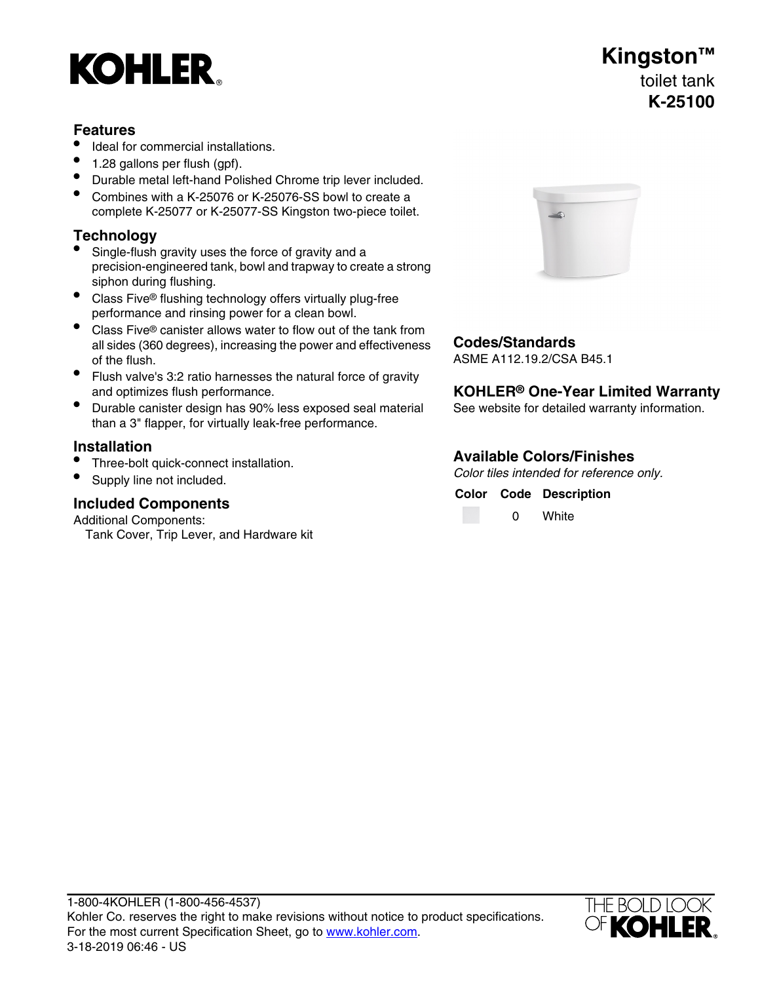# **KOHLER**

### **Features**

- Ideal for commercial installations.
- 1.28 gallons per flush (gpf).
- Durable metal left-hand Polished Chrome trip lever included.
- Combines with a K-25076 or K-25076-SS bowl to create a complete K-25077 or K-25077-SS Kingston two-piece toilet.

## **Technology**

- Single-flush gravity uses the force of gravity and a precision-engineered tank, bowl and trapway to create a strong siphon during flushing.
- Class Five<sup>®</sup> flushing technology offers virtually plug-free performance and rinsing power for a clean bowl.
- Class Five<sup>®</sup> canister allows water to flow out of the tank from all sides (360 degrees), increasing the power and effectiveness of the flush.
- Flush valve's 3:2 ratio harnesses the natural force of gravity and optimizes flush performance.
- Durable canister design has 90% less exposed seal material See website for detailed warranty information. than a 3" flapper, for virtually leak-free performance.

- Three-bolt quick-connect installation.
- 

# **Conomists**<br> **Conomists**<br> **Conomists**<br> **Conomists**

Additional Components: Tank Cover, Trip Lever, and Hardware kit



## **Codes/Standards**

ASME A112.19.2/CSA B45.1

### **KOHLER<sup>®</sup> One-Year Limited Warranty**

# **Available Colors/Finishes Installation**

Color tiles intended for reference only.<br>
Supply line not included.<br>
Color Code Description

**White** 

### 1-800-4KOHLER (1-800-456-4537) Kohler Co. reserves the right to make revisions without notice to product specifications. For the most current Specification Sheet, go to [www.kohler.com](http://www.kohler.com). 3-18-2019 06:46 - US



# **Kingston™** toilet tank **K-25100**